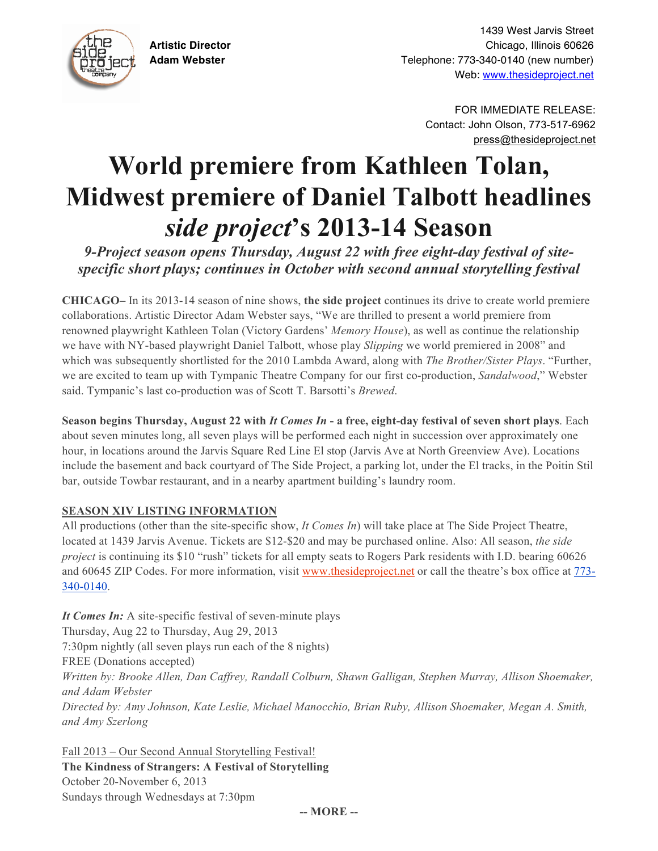

1439 West Jarvis Street **Artistic Director** Chicago, Illinois 60626 **Adam Webster** Telephone: 773-340-0140 (new number) Web: www.thesideproject.net

> FOR IMMEDIATE RELEASE: Contact: John Olson, 773-517-6962 press@thesideproject.net

# **World premiere from Kathleen Tolan, Midwest premiere of Daniel Talbott headlines**  *side project***'s 2013-14 Season**

*9-Project season opens Thursday, August 22 with free eight-day festival of sitespecific short plays; continues in October with second annual storytelling festival*

**CHICAGO–** In its 2013-14 season of nine shows, **the side project** continues its drive to create world premiere collaborations. Artistic Director Adam Webster says, "We are thrilled to present a world premiere from renowned playwright Kathleen Tolan (Victory Gardens' *Memory House*), as well as continue the relationship we have with NY-based playwright Daniel Talbott, whose play *Slipping* we world premiered in 2008" and which was subsequently shortlisted for the 2010 Lambda Award, along with *The Brother/Sister Plays*. "Further, we are excited to team up with Tympanic Theatre Company for our first co-production, *Sandalwood*," Webster said. Tympanic's last co-production was of Scott T. Barsotti's *Brewed*.

**Season begins Thursday, August 22 with** *It Comes In* **- a free, eight-day festival of seven short plays**. Each about seven minutes long, all seven plays will be performed each night in succession over approximately one hour, in locations around the Jarvis Square Red Line El stop (Jarvis Ave at North Greenview Ave). Locations include the basement and back courtyard of The Side Project, a parking lot, under the El tracks, in the Poitin Stil bar, outside Towbar restaurant, and in a nearby apartment building's laundry room.

## **SEASON XIV LISTING INFORMATION**

All productions (other than the site-specific show, *It Comes In*) will take place at The Side Project Theatre, located at 1439 Jarvis Avenue. Tickets are \$12-\$20 and may be purchased online. Also: All season, *the side project* is continuing its \$10 "rush" tickets for all empty seats to Rogers Park residents with I.D. bearing 60626 and 60645 ZIP Codes. For more information, visit www.thesideproject.net or call the theatre's box office at 773- 340-0140.

*It Comes In:* A site-specific festival of seven-minute plays Thursday, Aug 22 to Thursday, Aug 29, 2013 7:30pm nightly (all seven plays run each of the 8 nights) FREE (Donations accepted) *Written by: Brooke Allen, Dan Caffrey, Randall Colburn, Shawn Galligan, Stephen Murray, Allison Shoemaker, and Adam Webster Directed by: Amy Johnson, Kate Leslie, Michael Manocchio, Brian Ruby, Allison Shoemaker, Megan A. Smith, and Amy Szerlong*

Fall 2013 – Our Second Annual Storytelling Festival! **The Kindness of Strangers: A Festival of Storytelling** October 20-November 6, 2013 Sundays through Wednesdays at 7:30pm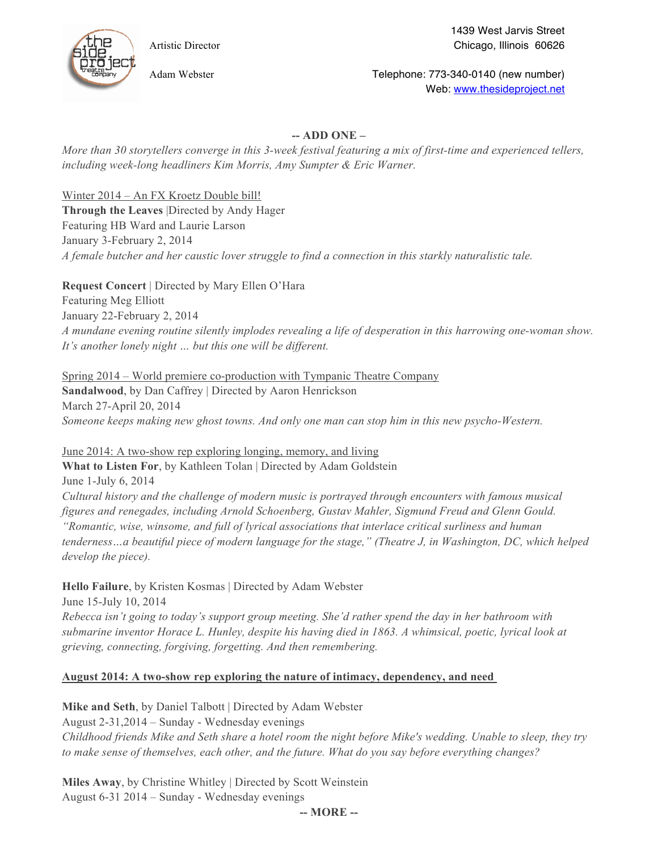

1439 West Jarvis Street Artistic Director Chicago, Illinois 60626

Adam Webster **Telephone: 773-340-0140 (new number)** Channel Telephone: 773-340-0140 (new number) Web: www.thesideproject.net

## **-- ADD ONE –**

*More than 30 storytellers converge in this 3-week festival featuring a mix of first-time and experienced tellers, including week-long headliners Kim Morris, Amy Sumpter & Eric Warner.*

Winter 2014 – An FX Kroetz Double bill!

**Through the Leaves** |Directed by Andy Hager Featuring HB Ward and Laurie Larson January 3-February 2, 2014 *A female butcher and her caustic lover struggle to find a connection in this starkly naturalistic tale.*

**Request Concert** | Directed by Mary Ellen O'Hara

Featuring Meg Elliott January 22-February 2, 2014 *A mundane evening routine silently implodes revealing a life of desperation in this harrowing one-woman show. It's another lonely night … but this one will be different.*

#### Spring 2014 – World premiere co-production with Tympanic Theatre Company

**Sandalwood**, by Dan Caffrey | Directed by Aaron Henrickson March 27-April 20, 2014 *Someone keeps making new ghost towns. And only one man can stop him in this new psycho-Western.*

June 2014: A two-show rep exploring longing, memory, and living

**What to Listen For**, by Kathleen Tolan | Directed by Adam Goldstein

June 1-July 6, 2014

*Cultural history and the challenge of modern music is portrayed through encounters with famous musical figures and renegades, including Arnold Schoenberg, Gustav Mahler, Sigmund Freud and Glenn Gould. "Romantic, wise, winsome, and full of lyrical associations that interlace critical surliness and human tenderness…a beautiful piece of modern language for the stage," (Theatre J, in Washington, DC, which helped develop the piece).*

**Hello Failure**, by Kristen Kosmas | Directed by Adam Webster

June 15-July 10, 2014 *Rebecca isn't going to today's support group meeting. She'd rather spend the day in her bathroom with submarine inventor Horace L. Hunley, despite his having died in 1863. A whimsical, poetic, lyrical look at grieving, connecting, forgiving, forgetting. And then remembering.*

## **August 2014: A two-show rep exploring the nature of intimacy, dependency, and need**

**Mike and Seth**, by Daniel Talbott | Directed by Adam Webster

August 2-31,2014 – Sunday - Wednesday evenings *Childhood friends Mike and Seth share a hotel room the night before Mike's wedding. Unable to sleep, they try to make sense of themselves, each other, and the future. What do you say before everything changes?*

**Miles Away**, by Christine Whitley | Directed by Scott Weinstein August 6-31 2014 – Sunday - Wednesday evenings

**-- MORE --**